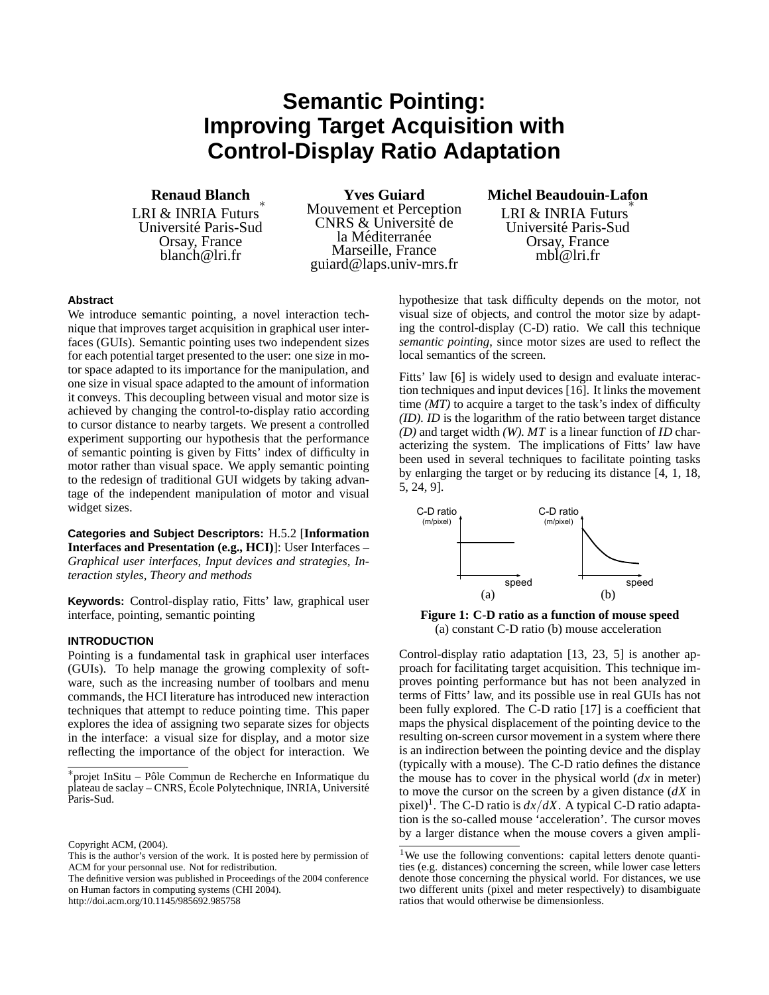# **Semantic Pointing: Improving Target Acquisition with Control-Display Ratio Adaptation**

**Renaud Blanch**

LRI & INRIA Futurs ∗ Universite Paris-Sud ´ Orsay, France blanch@lri.fr

**Yves Guiard** Mouvement et Perception CNRS & Université de la Méditerranée Marseille, France guiard@laps.univ-mrs.fr

**Michel Beaudouin-Lafon** ∗ LRI & INRIA Futurs Universite Paris-Sud ´ Orsay, France mbl@lri.fr

## **Abstract**

We introduce semantic pointing, a novel interaction technique that improves target acquisition in graphical user interfaces (GUIs). Semantic pointing uses two independent sizes for each potential target presented to the user: one size in motor space adapted to its importance for the manipulation, and one size in visual space adapted to the amount of information it conveys. This decoupling between visual and motor size is achieved by changing the control-to-display ratio according to cursor distance to nearby targets. We present a controlled experiment supporting our hypothesis that the performance of semantic pointing is given by Fitts' index of difficulty in motor rather than visual space. We apply semantic pointing to the redesign of traditional GUI widgets by taking advantage of the independent manipulation of motor and visual widget sizes.

**Categories and Subject Descriptors:** H.5.2 [**Information Interfaces and Presentation (e.g., HCI)**]: User Interfaces – *Graphical user interfaces, Input devices and strategies, Interaction styles, Theory and methods*

**Keywords:** Control-display ratio, Fitts' law, graphical user interface, pointing, semantic pointing

## **INTRODUCTION**

Pointing is a fundamental task in graphical user interfaces (GUIs). To help manage the growing complexity of software, such as the increasing number of toolbars and menu commands, the HCI literature has introduced new interaction techniques that attempt to reduce pointing time. This paper explores the idea of assigning two separate sizes for objects in the interface: a visual size for display, and a motor size reflecting the importance of the object for interaction. We

http://doi.acm.org/10.1145/985692.985758

hypothesize that task difficulty depends on the motor, not visual size of objects, and control the motor size by adapting the control-display (C-D) ratio. We call this technique *semantic pointing*, since motor sizes are used to reflect the local semantics of the screen.

Fitts' law [6] is widely used to design and evaluate interaction techniques and input devices [16]. It links the movement time *(MT)* to acquire a target to the task's index of difficulty *(ID). ID* is the logarithm of the ratio between target distance *(D)* and target width *(W). MT* is a linear function of *ID* characterizing the system. The implications of Fitts' law have been used in several techniques to facilitate pointing tasks by enlarging the target or by reducing its distance [4, 1, 18, 5, 24, 9].



**Figure 1: C-D ratio as a function of mouse speed** (a) constant C-D ratio (b) mouse acceleration

Control-display ratio adaptation [13, 23, 5] is another approach for facilitating target acquisition. This technique improves pointing performance but has not been analyzed in terms of Fitts' law, and its possible use in real GUIs has not been fully explored. The C-D ratio [17] is a coefficient that maps the physical displacement of the pointing device to the resulting on-screen cursor movement in a system where there is an indirection between the pointing device and the display (typically with a mouse). The C-D ratio defines the distance the mouse has to cover in the physical world (*dx* in meter) to move the cursor on the screen by a given distance (*dX* in pixel)<sup>1</sup>. The C-D ratio is  $dx/dX$ . A typical C-D ratio adaptation is the so-called mouse 'acceleration'. The cursor moves by a larger distance when the mouse covers a given ampli-

<sup>∗</sup> projet InSitu – Pole Commun de Recherche en Informatique du ˆ plateau de saclay – CNRS, École Polytechnique, INRIA, Université Paris-Sud.

Copyright ACM, (2004).

This is the author's version of the work. It is posted here by permission of ACM for your personnal use. Not for redistribution.

The definitive version was published in Proceedings of the 2004 conference on Human factors in computing systems (CHI 2004).

<sup>&</sup>lt;sup>1</sup>We use the following conventions: capital letters denote quantities (e.g. distances) concerning the screen, while lower case letters denote those concerning the physical world. For distances, we use two different units (pixel and meter respectively) to disambiguate ratios that would otherwise be dimensionless.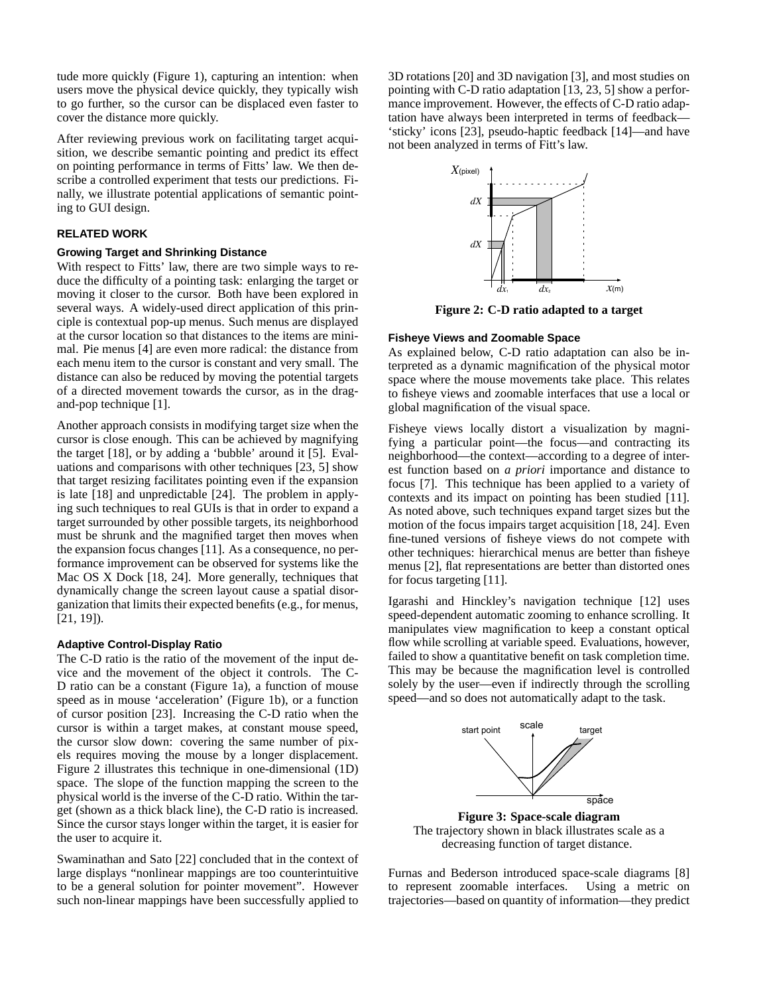tude more quickly (Figure 1), capturing an intention: when users move the physical device quickly, they typically wish to go further, so the cursor can be displaced even faster to cover the distance more quickly.

After reviewing previous work on facilitating target acquisition, we describe semantic pointing and predict its effect on pointing performance in terms of Fitts' law. We then describe a controlled experiment that tests our predictions. Finally, we illustrate potential applications of semantic pointing to GUI design.

# **RELATED WORK**

## **Growing Target and Shrinking Distance**

With respect to Fitts' law, there are two simple ways to reduce the difficulty of a pointing task: enlarging the target or moving it closer to the cursor. Both have been explored in several ways. A widely-used direct application of this principle is contextual pop-up menus. Such menus are displayed at the cursor location so that distances to the items are minimal. Pie menus [4] are even more radical: the distance from each menu item to the cursor is constant and very small. The distance can also be reduced by moving the potential targets of a directed movement towards the cursor, as in the dragand-pop technique [1].

Another approach consists in modifying target size when the cursor is close enough. This can be achieved by magnifying the target [18], or by adding a 'bubble' around it [5]. Evaluations and comparisons with other techniques [23, 5] show that target resizing facilitates pointing even if the expansion is late [18] and unpredictable [24]. The problem in applying such techniques to real GUIs is that in order to expand a target surrounded by other possible targets, its neighborhood must be shrunk and the magnified target then moves when the expansion focus changes [11]. As a consequence, no performance improvement can be observed for systems like the Mac OS X Dock [18, 24]. More generally, techniques that dynamically change the screen layout cause a spatial disorganization that limits their expected benefits (e.g., for menus, [21, 19]).

## **Adaptive Control-Display Ratio**

The C-D ratio is the ratio of the movement of the input device and the movement of the object it controls. The C-D ratio can be a constant (Figure 1a), a function of mouse speed as in mouse 'acceleration' (Figure 1b), or a function of cursor position [23]. Increasing the C-D ratio when the cursor is within a target makes, at constant mouse speed, the cursor slow down: covering the same number of pixels requires moving the mouse by a longer displacement. Figure 2 illustrates this technique in one-dimensional (1D) space. The slope of the function mapping the screen to the physical world is the inverse of the C-D ratio. Within the target (shown as a thick black line), the C-D ratio is increased. Since the cursor stays longer within the target, it is easier for the user to acquire it.

Swaminathan and Sato [22] concluded that in the context of large displays "nonlinear mappings are too counterintuitive to be a general solution for pointer movement". However such non-linear mappings have been successfully applied to

3D rotations [20] and 3D navigation [3], and most studies on pointing with C-D ratio adaptation [13, 23, 5] show a performance improvement. However, the effects of C-D ratio adaptation have always been interpreted in terms of feedback— 'sticky' icons [23], pseudo-haptic feedback [14]—and have not been analyzed in terms of Fitt's law.



**Figure 2: C-D ratio adapted to a target**

## **Fisheye Views and Zoomable Space**

As explained below, C-D ratio adaptation can also be interpreted as a dynamic magnification of the physical motor space where the mouse movements take place. This relates to fisheye views and zoomable interfaces that use a local or global magnification of the visual space.

Fisheye views locally distort a visualization by magnifying a particular point—the focus—and contracting its neighborhood—the context—according to a degree of interest function based on *a priori* importance and distance to focus [7]. This technique has been applied to a variety of contexts and its impact on pointing has been studied [11]. As noted above, such techniques expand target sizes but the motion of the focus impairs target acquisition [18, 24]. Even fine-tuned versions of fisheye views do not compete with other techniques: hierarchical menus are better than fisheye menus [2], flat representations are better than distorted ones for focus targeting [11].

Igarashi and Hinckley's navigation technique [12] uses speed-dependent automatic zooming to enhance scrolling. It manipulates view magnification to keep a constant optical flow while scrolling at variable speed. Evaluations, however, failed to show a quantitative benefit on task completion time. This may be because the magnification level is controlled solely by the user—even if indirectly through the scrolling speed—and so does not automatically adapt to the task.



**Figure 3: Space-scale diagram** The trajectory shown in black illustrates scale as a decreasing function of target distance.

Furnas and Bederson introduced space-scale diagrams [8] to represent zoomable interfaces. Using a metric on trajectories—based on quantity of information—they predict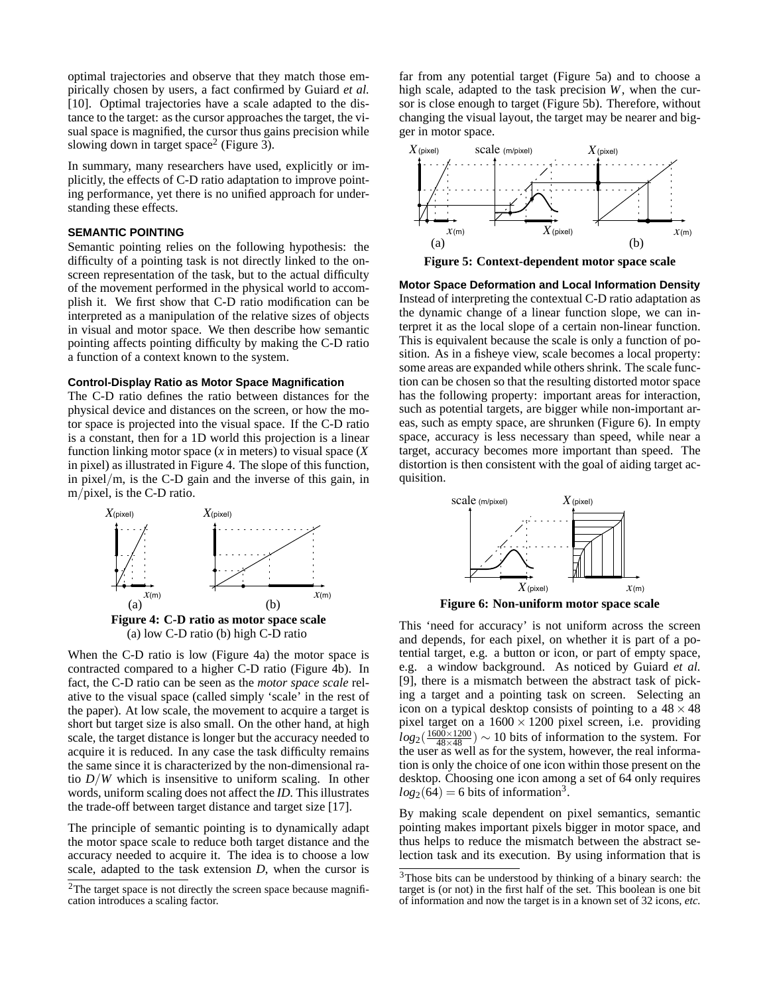optimal trajectories and observe that they match those empirically chosen by users, a fact confirmed by Guiard *et al.* [10]. Optimal trajectories have a scale adapted to the distance to the target: as the cursor approaches the target, the visual space is magnified, the cursor thus gains precision while slowing down in target space<sup>2</sup> (Figure 3).

In summary, many researchers have used, explicitly or implicitly, the effects of C-D ratio adaptation to improve pointing performance, yet there is no unified approach for understanding these effects.

## **SEMANTIC POINTING**

Semantic pointing relies on the following hypothesis: the difficulty of a pointing task is not directly linked to the onscreen representation of the task, but to the actual difficulty of the movement performed in the physical world to accomplish it. We first show that C-D ratio modification can be interpreted as a manipulation of the relative sizes of objects in visual and motor space. We then describe how semantic pointing affects pointing difficulty by making the C-D ratio a function of a context known to the system.

#### **Control-Display Ratio as Motor Space Magnification**

The C-D ratio defines the ratio between distances for the physical device and distances on the screen, or how the motor space is projected into the visual space. If the C-D ratio is a constant, then for a 1D world this projection is a linear function linking motor space (*x* in meters) to visual space (*X* in pixel) as illustrated in Figure 4. The slope of this function, in pixel/m, is the C-D gain and the inverse of this gain, in m/pixel, is the C-D ratio.



(a) low C-D ratio (b) high C-D ratio

When the C-D ratio is low (Figure 4a) the motor space is contracted compared to a higher C-D ratio (Figure 4b). In fact, the C-D ratio can be seen as the *motor space scale* relative to the visual space (called simply 'scale' in the rest of the paper). At low scale, the movement to acquire a target is short but target size is also small. On the other hand, at high scale, the target distance is longer but the accuracy needed to acquire it is reduced. In any case the task difficulty remains the same since it is characterized by the non-dimensional ratio *D*/*W* which is insensitive to uniform scaling. In other words, uniform scaling does not affect the *ID.* This illustrates the trade-off between target distance and target size [17].

The principle of semantic pointing is to dynamically adapt the motor space scale to reduce both target distance and the accuracy needed to acquire it. The idea is to choose a low scale, adapted to the task extension *D*, when the cursor is

<sup>2</sup>The target space is not directly the screen space because magnification introduces a scaling factor.

far from any potential target (Figure 5a) and to choose a high scale, adapted to the task precision *W*, when the cursor is close enough to target (Figure 5b). Therefore, without changing the visual layout, the target may be nearer and bigger in motor space.



**Figure 5: Context-dependent motor space scale**

**Motor Space Deformation and Local Information Density** Instead of interpreting the contextual C-D ratio adaptation as the dynamic change of a linear function slope, we can interpret it as the local slope of a certain non-linear function. This is equivalent because the scale is only a function of position. As in a fisheye view, scale becomes a local property: some areas are expanded while others shrink. The scale function can be chosen so that the resulting distorted motor space has the following property: important areas for interaction, such as potential targets, are bigger while non-important areas, such as empty space, are shrunken (Figure 6). In empty space, accuracy is less necessary than speed, while near a target, accuracy becomes more important than speed. The distortion is then consistent with the goal of aiding target acquisition.



**Figure 6: Non-uniform motor space scale**

This 'need for accuracy' is not uniform across the screen and depends, for each pixel, on whether it is part of a potential target, e.g. a button or icon, or part of empty space, e.g. a window background. As noticed by Guiard *et al.* [9], there is a mismatch between the abstract task of picking a target and a pointing task on screen. Selecting an icon on a typical desktop consists of pointing to a  $48 \times 48$ pixel target on a  $1600 \times 1200$  pixel screen, i.e. providing  $log_2(\frac{1600\times1200}{48\times48})$  ~ 10 bits of information to the system. For the user as well as for the system, however, the real information is only the choice of one icon within those present on the desktop. Choosing one icon among a set of 64 only requires  $log_2(64) = 6$  bits of information<sup>3</sup>.

By making scale dependent on pixel semantics, semantic pointing makes important pixels bigger in motor space, and thus helps to reduce the mismatch between the abstract selection task and its execution. By using information that is

<sup>3</sup>Those bits can be understood by thinking of a binary search: the target is (or not) in the first half of the set. This boolean is one bit of information and now the target is in a known set of 32 icons, *etc.*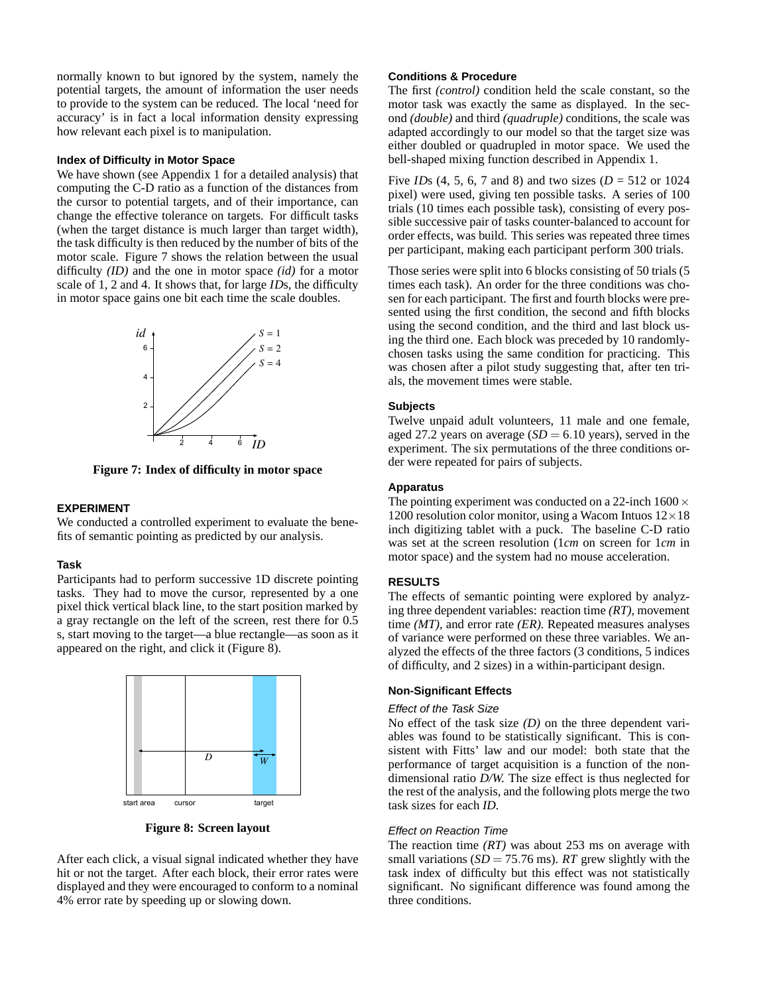normally known to but ignored by the system, namely the potential targets, the amount of information the user needs to provide to the system can be reduced. The local 'need for accuracy' is in fact a local information density expressing how relevant each pixel is to manipulation.

## **Index of Difficulty in Motor Space**

We have shown (see Appendix 1 for a detailed analysis) that computing the C-D ratio as a function of the distances from the cursor to potential targets, and of their importance, can change the effective tolerance on targets. For difficult tasks (when the target distance is much larger than target width), the task difficulty is then reduced by the number of bits of the motor scale. Figure 7 shows the relation between the usual difficulty *(ID)* and the one in motor space *(id)* for a motor scale of 1, 2 and 4. It shows that, for large *ID*s, the difficulty in motor space gains one bit each time the scale doubles.



**Figure 7: Index of difficulty in motor space**

#### **EXPERIMENT**

We conducted a controlled experiment to evaluate the benefits of semantic pointing as predicted by our analysis.

### **Task**

Participants had to perform successive 1D discrete pointing tasks. They had to move the cursor, represented by a one pixel thick vertical black line, to the start position marked by a gray rectangle on the left of the screen, rest there for 0.5 s, start moving to the target—a blue rectangle—as soon as it appeared on the right, and click it (Figure 8).



**Figure 8: Screen layout**

After each click, a visual signal indicated whether they have hit or not the target. After each block, their error rates were displayed and they were encouraged to conform to a nominal 4% error rate by speeding up or slowing down.

## **Conditions & Procedure**

The first *(control)* condition held the scale constant, so the motor task was exactly the same as displayed. In the second *(double)* and third *(quadruple)* conditions, the scale was adapted accordingly to our model so that the target size was either doubled or quadrupled in motor space. We used the bell-shaped mixing function described in Appendix 1.

Five *ID*s (4, 5, 6, 7 and 8) and two sizes (*D* = 512 or 1024 pixel) were used, giving ten possible tasks. A series of 100 trials (10 times each possible task), consisting of every possible successive pair of tasks counter-balanced to account for order effects, was build. This series was repeated three times per participant, making each participant perform 300 trials.

Those series were split into 6 blocks consisting of 50 trials (5 times each task). An order for the three conditions was chosen for each participant. The first and fourth blocks were presented using the first condition, the second and fifth blocks using the second condition, and the third and last block using the third one. Each block was preceded by 10 randomlychosen tasks using the same condition for practicing. This was chosen after a pilot study suggesting that, after ten trials, the movement times were stable.

## **Subjects**

Twelve unpaid adult volunteers, 11 male and one female, aged 27.2 years on average  $(SD = 6.10$  years), served in the experiment. The six permutations of the three conditions order were repeated for pairs of subjects.

#### **Apparatus**

The pointing experiment was conducted on a 22-inch  $1600 \times$ 1200 resolution color monitor, using a Wacom Intuos  $12\times18$ inch digitizing tablet with a puck. The baseline C-D ratio was set at the screen resolution (1*cm* on screen for 1*cm* in motor space) and the system had no mouse acceleration.

## **RESULTS**

The effects of semantic pointing were explored by analyzing three dependent variables: reaction time *(RT),* movement time *(MT),* and error rate *(ER).* Repeated measures analyses of variance were performed on these three variables. We analyzed the effects of the three factors (3 conditions, 5 indices of difficulty, and 2 sizes) in a within-participant design.

## **Non-Significant Effects**

#### Effect of the Task Size

No effect of the task size *(D)* on the three dependent variables was found to be statistically significant. This is consistent with Fitts' law and our model: both state that the performance of target acquisition is a function of the nondimensional ratio *D/W.* The size effect is thus neglected for the rest of the analysis, and the following plots merge the two task sizes for each *ID.*

# Effect on Reaction Time

The reaction time *(RT)* was about 253 ms on average with small variations  $(SD = 75.76 \text{ ms})$ . *RT* grew slightly with the task index of difficulty but this effect was not statistically significant. No significant difference was found among the three conditions.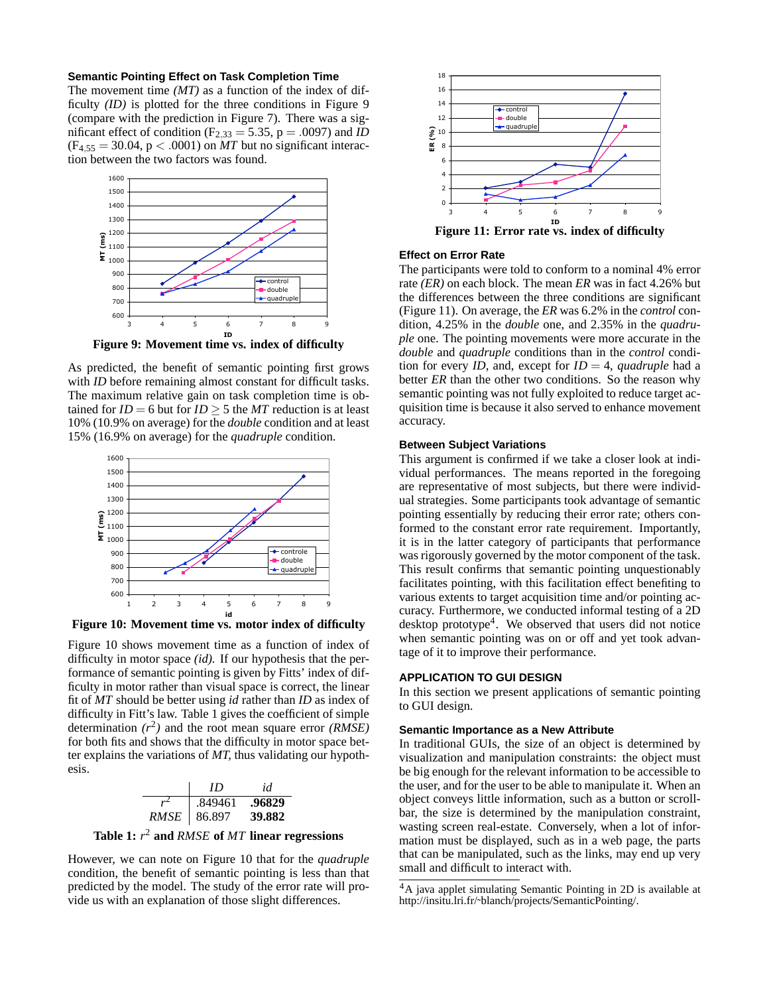### **Semantic Pointing Effect on Task Completion Time**

The movement time *(MT)* as a function of the index of difficulty *(ID)* is plotted for the three conditions in Figure 9 (compare with the prediction in Figure 7). There was a significant effect of condition ( $F_{2,33} = 5.35$ ,  $p = .0097$ ) and *ID*  $(F_{4.55} = 30.04, p < .0001)$  on *MT* but no significant interaction between the two factors was found.



**Figure 9: Movement time vs. index of difficulty**

As predicted, the benefit of semantic pointing first grows with *ID* before remaining almost constant for difficult tasks. The maximum relative gain on task completion time is obtained for  $ID = 6$  but for  $ID \geq 5$  the MT reduction is at least 10% (10.9% on average) for the *double* condition and at least 15% (16.9% on average) for the *quadruple* condition.



**Figure 10: Movement time vs. motor index of difficulty**

Figure 10 shows movement time as a function of index of difficulty in motor space *(id).* If our hypothesis that the performance of semantic pointing is given by Fitts' index of difficulty in motor rather than visual space is correct, the linear fit of *MT* should be better using *id* rather than *ID* as index of difficulty in Fitt's law. Table 1 gives the coefficient of simple determination  $(r^2)$  and the root mean square error *(RMSE)* for both fits and shows that the difficulty in motor space better explains the variations of *MT,* thus validating our hypothesis.

| ID    | id      |        |
|-------|---------|--------|
| $r^2$ | .849461 | .96829 |
| RMSE  | 86.897  | 39.882 |

Table 1: 
$$
r^2
$$
 and *RMSE* of *MT* linear regressions

However, we can note on Figure 10 that for the *quadruple* condition, the benefit of semantic pointing is less than that predicted by the model. The study of the error rate will provide us with an explanation of those slight differences.



## **Effect on Error Rate**

The participants were told to conform to a nominal 4% error rate *(ER)* on each block. The mean *ER* was in fact 4.26% but the differences between the three conditions are significant (Figure 11). On average, the *ER* was 6.2% in the *control* condition, 4.25% in the *double* one, and 2.35% in the *quadruple* one. The pointing movements were more accurate in the *double* and *quadruple* conditions than in the *control* condition for every *ID*, and, except for *ID* = 4, *quadruple* had a better *ER* than the other two conditions. So the reason why semantic pointing was not fully exploited to reduce target acquisition time is because it also served to enhance movement accuracy.

## **Between Subject Variations**

This argument is confirmed if we take a closer look at individual performances. The means reported in the foregoing are representative of most subjects, but there were individual strategies. Some participants took advantage of semantic pointing essentially by reducing their error rate; others conformed to the constant error rate requirement. Importantly, it is in the latter category of participants that performance was rigorously governed by the motor component of the task. This result confirms that semantic pointing unquestionably facilitates pointing, with this facilitation effect benefiting to various extents to target acquisition time and/or pointing accuracy. Furthermore, we conducted informal testing of a 2D desktop prototype<sup>4</sup>. We observed that users did not notice when semantic pointing was on or off and yet took advantage of it to improve their performance.

## **APPLICATION TO GUI DESIGN**

In this section we present applications of semantic pointing to GUI design.

## **Semantic Importance as a New Attribute**

In traditional GUIs, the size of an object is determined by visualization and manipulation constraints: the object must be big enough for the relevant information to be accessible to the user, and for the user to be able to manipulate it. When an object conveys little information, such as a button or scrollbar, the size is determined by the manipulation constraint, wasting screen real-estate. Conversely, when a lot of information must be displayed, such as in a web page, the parts that can be manipulated, such as the links, may end up very small and difficult to interact with.

<sup>&</sup>lt;sup>4</sup>A java applet simulating Semantic Pointing in 2D is available at http://insitu.lri.fr/˜blanch/projects/SemanticPointing/.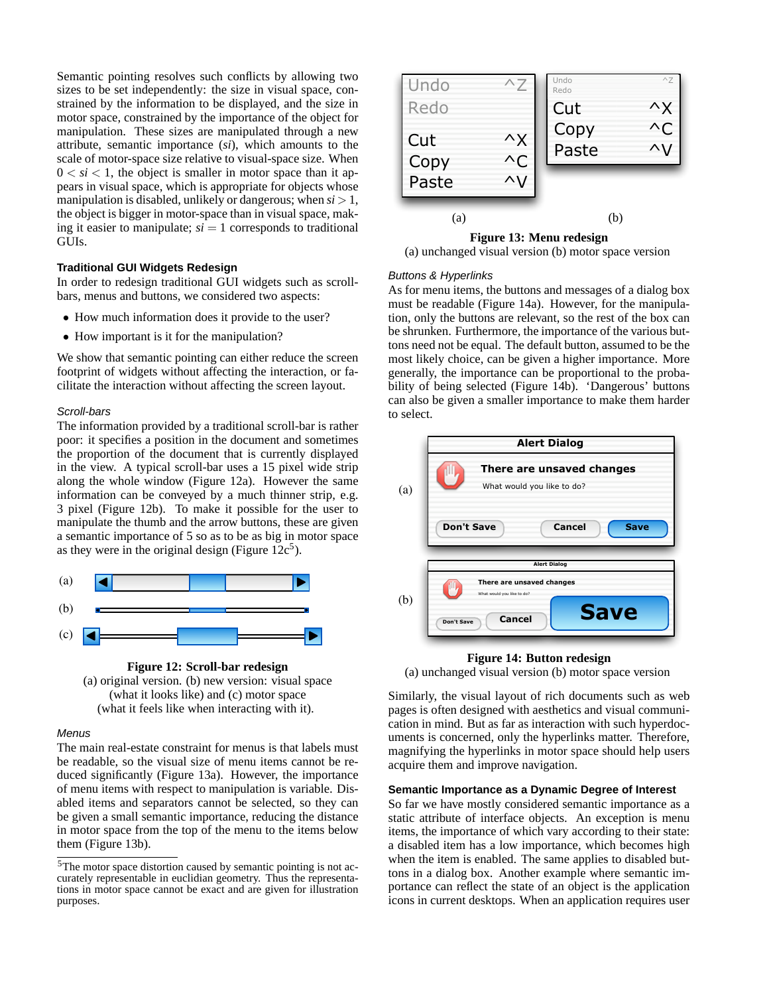Semantic pointing resolves such conflicts by allowing two sizes to be set independently: the size in visual space, constrained by the information to be displayed, and the size in motor space, constrained by the importance of the object for manipulation. These sizes are manipulated through a new attribute, semantic importance (*si*), which amounts to the scale of motor-space size relative to visual-space size. When  $0 < si < 1$ , the object is smaller in motor space than it appears in visual space, which is appropriate for objects whose manipulation is disabled, unlikely or dangerous; when  $si > 1$ , the object is bigger in motor-space than in visual space, making it easier to manipulate;  $si = 1$  corresponds to traditional GUIs.

## **Traditional GUI Widgets Redesign**

In order to redesign traditional GUI widgets such as scrollbars, menus and buttons, we considered two aspects:

- How much information does it provide to the user?
- How important is it for the manipulation?

We show that semantic pointing can either reduce the screen footprint of widgets without affecting the interaction, or facilitate the interaction without affecting the screen layout.

#### Scroll-bars

The information provided by a traditional scroll-bar is rather poor: it specifies a position in the document and sometimes the proportion of the document that is currently displayed in the view. A typical scroll-bar uses a 15 pixel wide strip along the whole window (Figure 12a). However the same information can be conveyed by a much thinner strip, e.g. 3 pixel (Figure 12b). To make it possible for the user to manipulate the thumb and the arrow buttons, these are given a semantic importance of 5 so as to be as big in motor space as they were in the original design (Figure  $12c^5$ ).





## **Menus**

The main real-estate constraint for menus is that labels must be readable, so the visual size of menu items cannot be reduced significantly (Figure 13a). However, the importance of menu items with respect to manipulation is variable. Disabled items and separators cannot be selected, so they can be given a small semantic importance, reducing the distance in motor space from the top of the menu to the items below them (Figure 13b).



**Figure 13: Menu redesign**

(a) unchanged visual version (b) motor space version

#### Buttons & Hyperlinks

As for menu items, the buttons and messages of a dialog box must be readable (Figure 14a). However, for the manipulation, only the buttons are relevant, so the rest of the box can be shrunken. Furthermore, the importance of the various buttons need not be equal. The default button, assumed to be the most likely choice, can be given a higher importance. More generally, the importance can be proportional to the probability of being selected (Figure 14b). 'Dangerous' buttons can also be given a smaller importance to make them harder to select.



**Figure 14: Button redesign**

(a) unchanged visual version (b) motor space version

Similarly, the visual layout of rich documents such as web pages is often designed with aesthetics and visual communication in mind. But as far as interaction with such hyperdocuments is concerned, only the hyperlinks matter. Therefore, magnifying the hyperlinks in motor space should help users acquire them and improve navigation.

## **Semantic Importance as a Dynamic Degree of Interest**

So far we have mostly considered semantic importance as a static attribute of interface objects. An exception is menu items, the importance of which vary according to their state: a disabled item has a low importance, which becomes high when the item is enabled. The same applies to disabled buttons in a dialog box. Another example where semantic importance can reflect the state of an object is the application icons in current desktops. When an application requires user

<sup>5</sup>The motor space distortion caused by semantic pointing is not accurately representable in euclidian geometry. Thus the representations in motor space cannot be exact and are given for illustration purposes.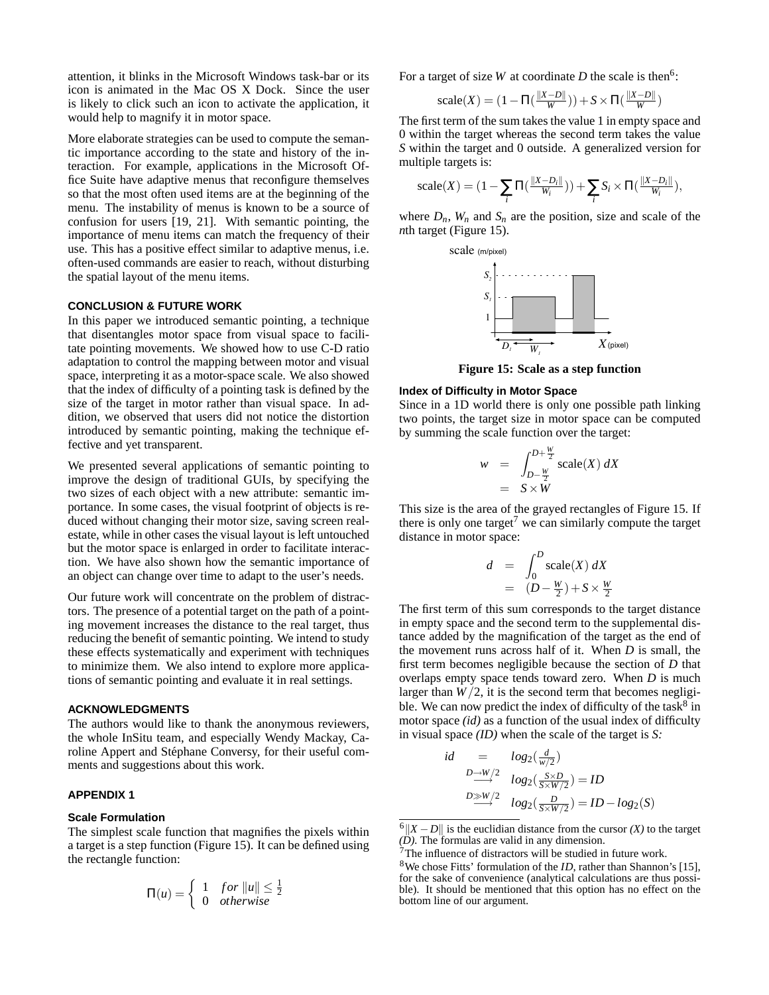attention, it blinks in the Microsoft Windows task-bar or its icon is animated in the Mac OS X Dock. Since the user is likely to click such an icon to activate the application, it would help to magnify it in motor space.

More elaborate strategies can be used to compute the semantic importance according to the state and history of the interaction. For example, applications in the Microsoft Office Suite have adaptive menus that reconfigure themselves so that the most often used items are at the beginning of the menu. The instability of menus is known to be a source of confusion for users [19, 21]. With semantic pointing, the importance of menu items can match the frequency of their use. This has a positive effect similar to adaptive menus, i.e. often-used commands are easier to reach, without disturbing the spatial layout of the menu items.

## **CONCLUSION & FUTURE WORK**

In this paper we introduced semantic pointing, a technique that disentangles motor space from visual space to facilitate pointing movements. We showed how to use C-D ratio adaptation to control the mapping between motor and visual space, interpreting it as a motor-space scale. We also showed that the index of difficulty of a pointing task is defined by the size of the target in motor rather than visual space. In addition, we observed that users did not notice the distortion introduced by semantic pointing, making the technique effective and yet transparent.

We presented several applications of semantic pointing to improve the design of traditional GUIs, by specifying the two sizes of each object with a new attribute: semantic importance. In some cases, the visual footprint of objects is reduced without changing their motor size, saving screen realestate, while in other cases the visual layout is left untouched but the motor space is enlarged in order to facilitate interaction. We have also shown how the semantic importance of an object can change over time to adapt to the user's needs.

Our future work will concentrate on the problem of distractors. The presence of a potential target on the path of a pointing movement increases the distance to the real target, thus reducing the benefit of semantic pointing. We intend to study these effects systematically and experiment with techniques to minimize them. We also intend to explore more applications of semantic pointing and evaluate it in real settings.

#### **ACKNOWLEDGMENTS**

The authors would like to thank the anonymous reviewers, the whole InSitu team, and especially Wendy Mackay, Caroline Appert and Stéphane Conversy, for their useful comments and suggestions about this work.

# **APPENDIX 1**

#### **Scale Formulation**

The simplest scale function that magnifies the pixels within a target is a step function (Figure 15). It can be defined using the rectangle function:

$$
\Pi(u) = \begin{cases} 1 & \text{for } ||u|| \leq \frac{1}{2} \\ 0 & \text{otherwise} \end{cases}
$$

For a target of size  $W$  at coordinate  $D$  the scale is then<sup>6</sup>:

scale
$$
(X)
$$
 =  $(1 - \Pi(\frac{\|X-D\|}{W})) + S \times \Pi(\frac{\|X-D\|}{W})$ 

The first term of the sum takes the value 1 in empty space and 0 within the target whereas the second term takes the value *S* within the target and 0 outside. A generalized version for multiple targets is:

scale
$$
(X)
$$
 =  $(1 - \sum_i \Pi(\frac{\|X - D_i\|}{W_i})) + \sum_i S_i \times \Pi(\frac{\|X - D_i\|}{W_i}),$ 

where  $D_n$ ,  $W_n$  and  $S_n$  are the position, size and scale of the *n*th target (Figure 15).

> scale (m/pixel) *S2*



**Figure 15: Scale as a step function**

#### **Index of Difficulty in Motor Space**

Since in a 1D world there is only one possible path linking two points, the target size in motor space can be computed by summing the scale function over the target:

$$
w = \int_{D-\frac{W}{2}}^{D+\frac{W}{2}} \text{scale}(X) dX
$$
  
=  $S \times W$ 

This size is the area of the grayed rectangles of Figure 15. If there is only one target<sup>7</sup> we can similarly compute the target distance in motor space:

$$
d = \int_0^D \text{scale}(X) \, dX
$$
  
= 
$$
(D - \frac{W}{2}) + S \times \frac{W}{2}
$$

The first term of this sum corresponds to the target distance in empty space and the second term to the supplemental distance added by the magnification of the target as the end of the movement runs across half of it. When *D* is small, the first term becomes negligible because the section of *D* that overlaps empty space tends toward zero. When *D* is much larger than  $\overline{W}/2$ , it is the second term that becomes negligible. We can now predict the index of difficulty of the task<sup>8</sup> in motor space *(id)* as a function of the usual index of difficulty in visual space *(ID)* when the scale of the target is *S:*

$$
id = log_2(\frac{d}{w/2})
$$
  
\n
$$
log_2(\frac{S \times D}{S \times W/2}) = ID
$$
  
\n
$$
log_2(\frac{S \times W}{S \times W/2}) = ID - log_2(S)
$$

 $\frac{6}{X}$  −*D*|| is the euclidian distance from the cursor *(X)* to the target  $(D)$ . The formulas are valid in any dimension.

 $7$ The influence of distractors will be studied in future work.

<sup>8</sup>We chose Fitts' formulation of the *ID*, rather than Shannon's [15], for the sake of convenience (analytical calculations are thus possible). It should be mentioned that this option has no effect on the bottom line of our argument.